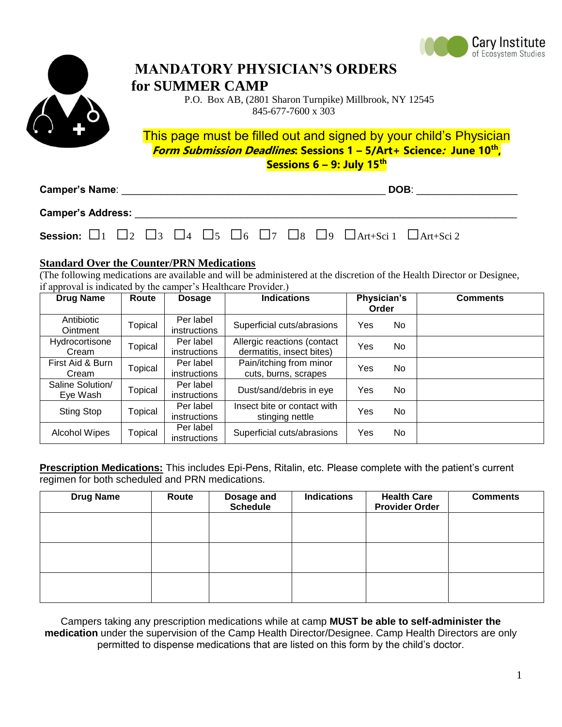



## **MANDATORY PHYSICIAN'S ORDERS for SUMMER CAMP**

 P.O. Box AB, (2801 Sharon Turnpike) Millbrook, NY 12545 845-677-7600 x 303

This page must be filled out and signed by your child's Physician **Form Submission Deadlines: Sessions 1 – 5/Art+ Science: June 10th , Sessions 6 – 9: July 15th**

| <b>Camper's Name:</b>                                                                                                              |  |  |  |  |  |  | DOB: |  |  |  |
|------------------------------------------------------------------------------------------------------------------------------------|--|--|--|--|--|--|------|--|--|--|
| <b>Camper's Address:</b>                                                                                                           |  |  |  |  |  |  |      |  |  |  |
| <b>Session:</b> $\Box$ 1 $\Box$ 2 $\Box$ 3 $\Box$ 4 $\Box$ 5 $\Box$ 6 $\Box$ 7 $\Box$ 8 $\Box$ 9 $\Box$ Art+Sci 1 $\Box$ Art+Sci 2 |  |  |  |  |  |  |      |  |  |  |

## **Standard Over the Counter/PRN Medications**

(The following medications are available and will be administered at the discretion of the Health Director or Designee, if approval is indicated by the camper's Healthcare Provider.)

| <b>Drug Name</b>              | Route   | <b>Dosage</b>                    | <b>Indications</b>                                       | Physician's<br>Order |     | <b>Comments</b> |
|-------------------------------|---------|----------------------------------|----------------------------------------------------------|----------------------|-----|-----------------|
| Antibiotic<br><b>Ointment</b> | Topical | Per label<br>instructions        | Superficial cuts/abrasions                               | Yes                  | No  |                 |
| Hydrocortisone<br>Cream       | Topical | Per label<br><i>instructions</i> | Allergic reactions (contact<br>dermatitis, insect bites) | Yes                  | No. |                 |
| First Aid & Burn<br>Cream     | Topical | Per label<br>instructions        | Pain/itching from minor<br>cuts, burns, scrapes          | Yes                  | No. |                 |
| Saline Solution/<br>Eye Wash  | Topical | Per label<br>instructions        | Dust/sand/debris in eye                                  | Yes                  | No  |                 |
| Sting Stop                    | Topical | Per label<br><i>instructions</i> | Insect bite or contact with<br>stinging nettle           | Yes                  | No  |                 |
| <b>Alcohol Wipes</b>          | Topical | Per label<br>instructions        | Superficial cuts/abrasions                               | Yes                  | No  |                 |

**Prescription Medications:** This includes Epi-Pens, Ritalin, etc. Please complete with the patient's current regimen for both scheduled and PRN medications.

| <b>Drug Name</b> | Route | Dosage and<br><b>Schedule</b> | <b>Indications</b> | <b>Health Care</b><br><b>Provider Order</b> | <b>Comments</b> |
|------------------|-------|-------------------------------|--------------------|---------------------------------------------|-----------------|
|                  |       |                               |                    |                                             |                 |
|                  |       |                               |                    |                                             |                 |
|                  |       |                               |                    |                                             |                 |
|                  |       |                               |                    |                                             |                 |

Campers taking any prescription medications while at camp **MUST be able to self-administer the medication** under the supervision of the Camp Health Director/Designee. Camp Health Directors are only permitted to dispense medications that are listed on this form by the child's doctor.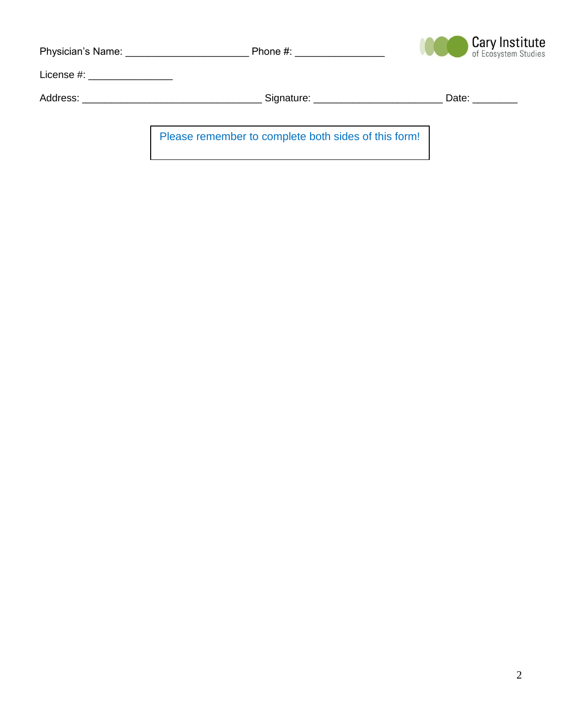| Physician's Name: The control of the control of the control of the control of the control of the control of the control of the control of the control of the control of the control of the control of the control of the contr | Phone #: the contract of the contract of the contract of the contract of the contract of the contract of the contract of the contract of the contract of the contract of the contract of the contract of the contract of the c | <b>Cary Institute</b> of Ecosystem Studies |
|--------------------------------------------------------------------------------------------------------------------------------------------------------------------------------------------------------------------------------|--------------------------------------------------------------------------------------------------------------------------------------------------------------------------------------------------------------------------------|--------------------------------------------|
| License #: __________________                                                                                                                                                                                                  |                                                                                                                                                                                                                                |                                            |
| Address: __________________________________                                                                                                                                                                                    | Signature: _____________________                                                                                                                                                                                               | Date: <b>Date</b>                          |
|                                                                                                                                                                                                                                |                                                                                                                                                                                                                                |                                            |
|                                                                                                                                                                                                                                | Please remember to complete both sides of this form!                                                                                                                                                                           |                                            |